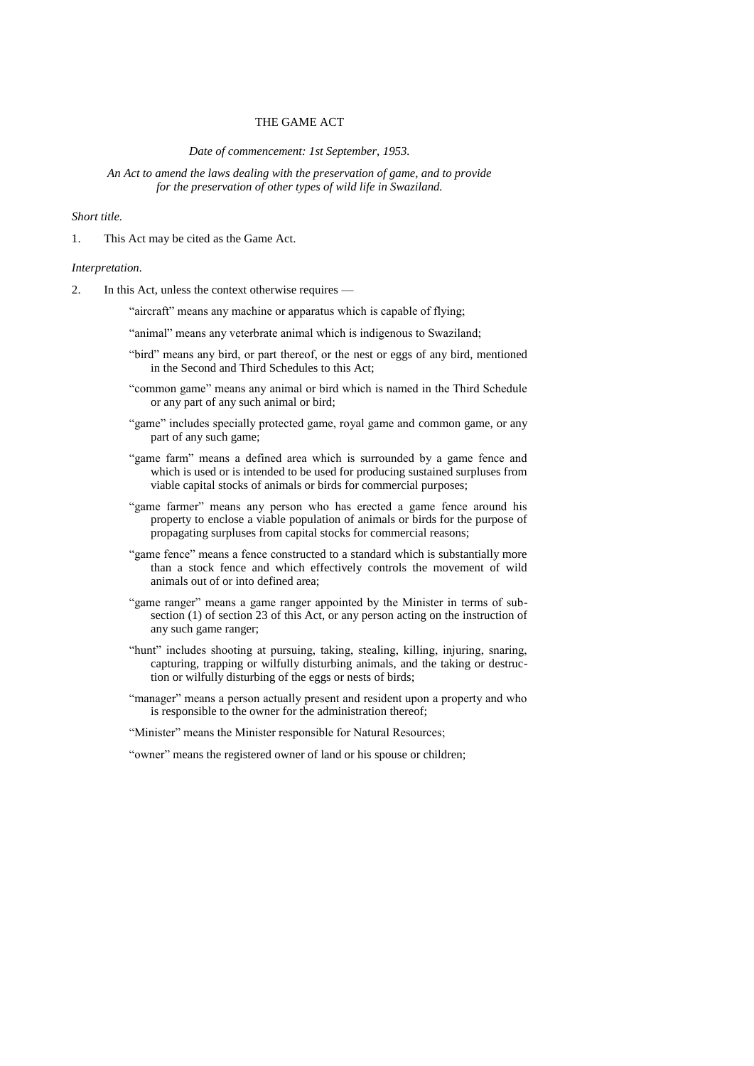## THE GAME ACT

#### *Date of commencement: 1st September, 1953.*

*An Act to amend the laws dealing with the preservation of game, and to provide for the preservation of other types of wild life in Swaziland.*

### *Short title.*

1. This Act may be cited as the Game Act.

#### *Interpretation.*

2. In this Act, unless the context otherwise requires —

"aircraft" means any machine or apparatus which is capable of flying;

- "animal" means any veterbrate animal which is indigenous to Swaziland;
- "bird" means any bird, or part thereof, or the nest or eggs of any bird, mentioned in the Second and Third Schedules to this Act;
- "common game" means any animal or bird which is named in the Third Schedule or any part of any such animal or bird;
- "game" includes specially protected game, royal game and common game, or any part of any such game;
- "game farm" means a defined area which is surrounded by a game fence and which is used or is intended to be used for producing sustained surpluses from viable capital stocks of animals or birds for commercial purposes;
- "game farmer" means any person who has erected a game fence around his property to enclose a viable population of animals or birds for the purpose of propagating surpluses from capital stocks for commercial reasons;
- "game fence" means a fence constructed to a standard which is substantially more than a stock fence and which effectively controls the movement of wild animals out of or into defined area;
- "game ranger" means a game ranger appointed by the Minister in terms of subsection (1) of section 23 of this Act, or any person acting on the instruction of any such game ranger;
- "hunt" includes shooting at pursuing, taking, stealing, killing, injuring, snaring, capturing, trapping or wilfully disturbing animals, and the taking or destruction or wilfully disturbing of the eggs or nests of birds;
- "manager" means a person actually present and resident upon a property and who is responsible to the owner for the administration thereof;
- "Minister" means the Minister responsible for Natural Resources;
- "owner" means the registered owner of land or his spouse or children;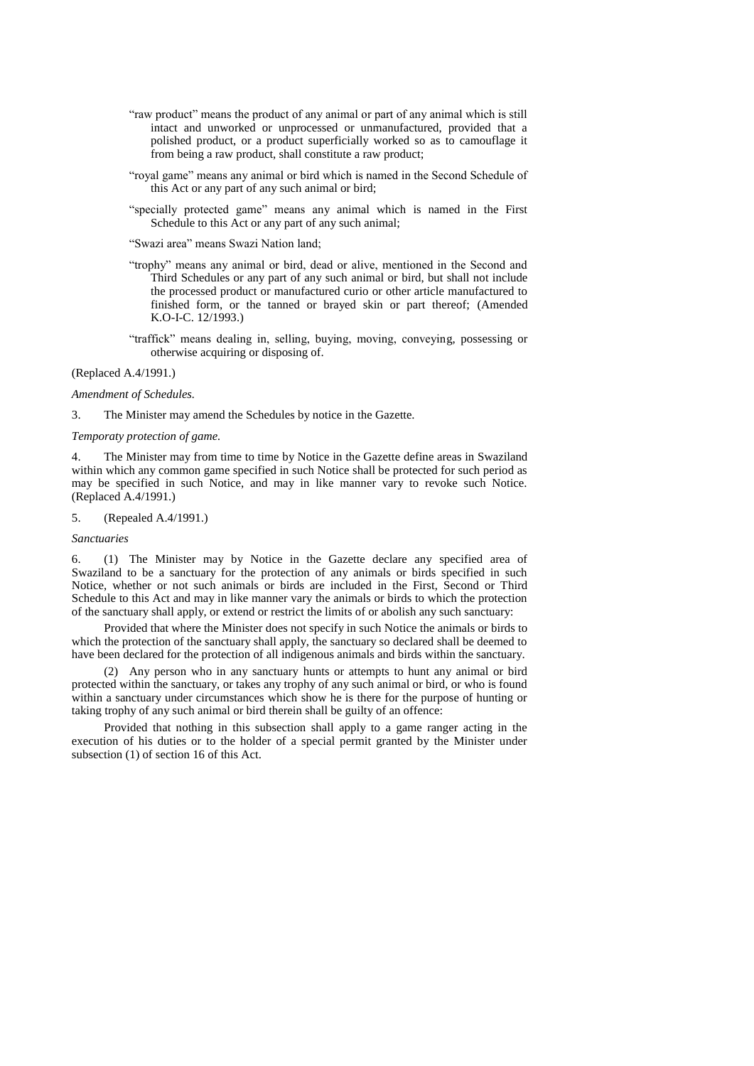- "raw product" means the product of any animal or part of any animal which is still intact and unworked or unprocessed or unmanufactured, provided that a polished product, or a product superficially worked so as to camouflage it from being a raw product, shall constitute a raw product;
- "royal game" means any animal or bird which is named in the Second Schedule of this Act or any part of any such animal or bird;
- "specially protected game" means any animal which is named in the First Schedule to this Act or any part of any such animal;

"Swazi area" means Swazi Nation land;

- "trophy" means any animal or bird, dead or alive, mentioned in the Second and Third Schedules or any part of any such animal or bird, but shall not include the processed product or manufactured curio or other article manufactured to finished form, or the tanned or brayed skin or part thereof; (Amended K.O-I-C. 12/1993.)
- "traffick" means dealing in, selling, buying, moving, conveying, possessing or otherwise acquiring or disposing of.

#### (Replaced A.4/1991.)

*Amendment of Schedules.*

3. The Minister may amend the Schedules by notice in the Gazette.

### *Temporaty protection of game.*

4. The Minister may from time to time by Notice in the Gazette define areas in Swaziland within which any common game specified in such Notice shall be protected for such period as may be specified in such Notice, and may in like manner vary to revoke such Notice. (Replaced A.4/1991.)

5. (Repealed A.4/1991.)

#### *Sanctuaries*

6. (1) The Minister may by Notice in the Gazette declare any specified area of Swaziland to be a sanctuary for the protection of any animals or birds specified in such Notice, whether or not such animals or birds are included in the First, Second or Third Schedule to this Act and may in like manner vary the animals or birds to which the protection of the sanctuary shall apply, or extend or restrict the limits of or abolish any such sanctuary:

Provided that where the Minister does not specify in such Notice the animals or birds to which the protection of the sanctuary shall apply, the sanctuary so declared shall be deemed to have been declared for the protection of all indigenous animals and birds within the sanctuary.

(2) Any person who in any sanctuary hunts or attempts to hunt any animal or bird protected within the sanctuary, or takes any trophy of any such animal or bird, or who is found within a sanctuary under circumstances which show he is there for the purpose of hunting or taking trophy of any such animal or bird therein shall be guilty of an offence:

Provided that nothing in this subsection shall apply to a game ranger acting in the execution of his duties or to the holder of a special permit granted by the Minister under subsection (1) of section 16 of this Act.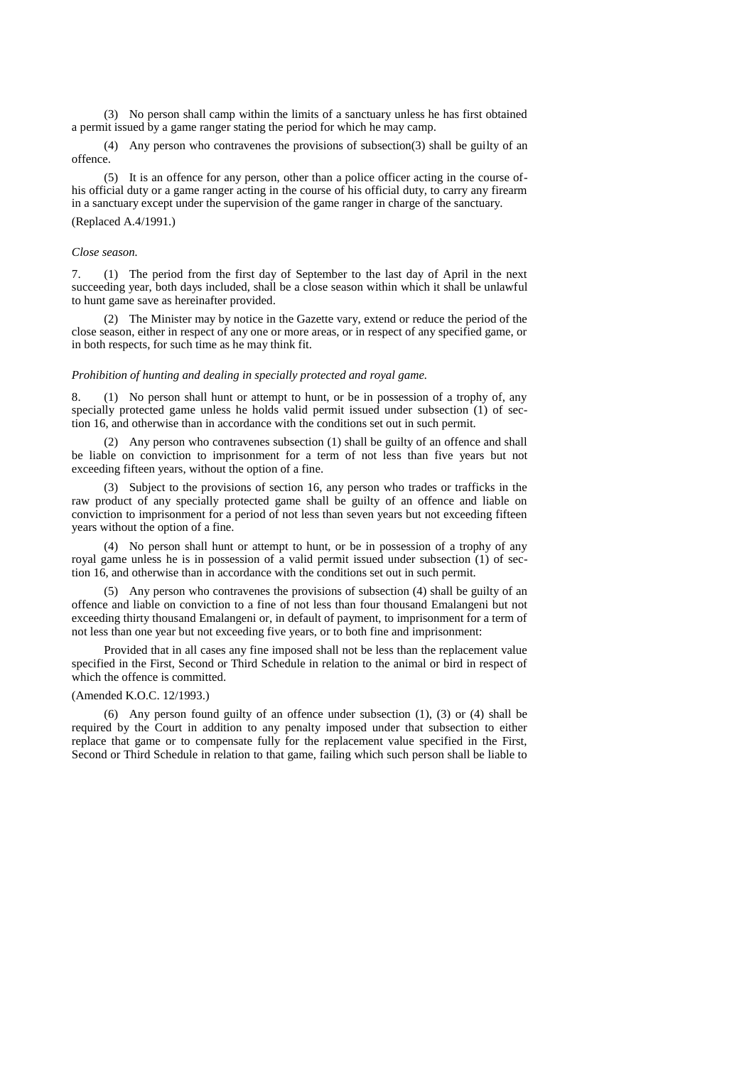(3) No person shall camp within the limits of a sanctuary unless he has first obtained a permit issued by a game ranger stating the period for which he may camp.

(4) Any person who contravenes the provisions of subsection(3) shall be guilty of an offence.

(5) It is an offence for any person, other than a police officer acting in the course ofhis official duty or a game ranger acting in the course of his official duty, to carry any firearm in a sanctuary except under the supervision of the game ranger in charge of the sanctuary. (Replaced A.4/1991.)

### *Close season.*

7. (1) The period from the first day of September to the last day of April in the next succeeding year, both days included, shall be a close season within which it shall be unlawful to hunt game save as hereinafter provided.

(2) The Minister may by notice in the Gazette vary, extend or reduce the period of the close season, either in respect of any one or more areas, or in respect of any specified game, or in both respects, for such time as he may think fit.

### *Prohibition of hunting and dealing in specially protected and royal game.*

8. (1) No person shall hunt or attempt to hunt, or be in possession of a trophy of, any specially protected game unless he holds valid permit issued under subsection  $(1)$  of section 16, and otherwise than in accordance with the conditions set out in such permit.

(2) Any person who contravenes subsection (1) shall be guilty of an offence and shall be liable on conviction to imprisonment for a term of not less than five years but not exceeding fifteen years, without the option of a fine.

(3) Subject to the provisions of section 16, any person who trades or trafficks in the raw product of any specially protected game shall be guilty of an offence and liable on conviction to imprisonment for a period of not less than seven years but not exceeding fifteen years without the option of a fine.

(4) No person shall hunt or attempt to hunt, or be in possession of a trophy of any royal game unless he is in possession of a valid permit issued under subsection (1) of section 16, and otherwise than in accordance with the conditions set out in such permit.

(5) Any person who contravenes the provisions of subsection (4) shall be guilty of an offence and liable on conviction to a fine of not less than four thousand Emalangeni but not exceeding thirty thousand Emalangeni or, in default of payment, to imprisonment for a term of not less than one year but not exceeding five years, or to both fine and imprisonment:

Provided that in all cases any fine imposed shall not be less than the replacement value specified in the First, Second or Third Schedule in relation to the animal or bird in respect of which the offence is committed.

### (Amended K.O.C. 12/1993.)

(6) Any person found guilty of an offence under subsection (1), (3) or (4) shall be required by the Court in addition to any penalty imposed under that subsection to either replace that game or to compensate fully for the replacement value specified in the First, Second or Third Schedule in relation to that game, failing which such person shall be liable to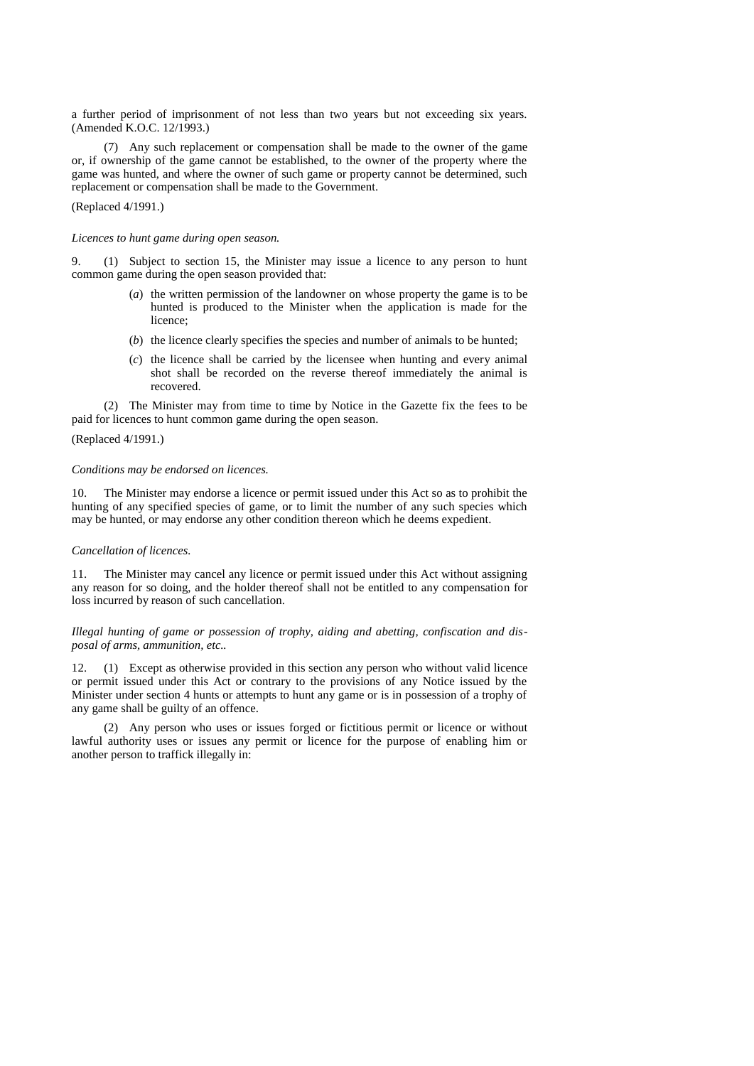a further period of imprisonment of not less than two years but not exceeding six years. (Amended K.O.C. 12/1993.)

(7) Any such replacement or compensation shall be made to the owner of the game or, if ownership of the game cannot be established, to the owner of the property where the game was hunted, and where the owner of such game or property cannot be determined, such replacement or compensation shall be made to the Government.

(Replaced 4/1991.)

*Licences to hunt game during open season.*

9. (1) Subject to section 15, the Minister may issue a licence to any person to hunt common game during the open season provided that:

- (*a*) the written permission of the landowner on whose property the game is to be hunted is produced to the Minister when the application is made for the licence;
- (*b*) the licence clearly specifies the species and number of animals to be hunted;
- (*c*) the licence shall be carried by the licensee when hunting and every animal shot shall be recorded on the reverse thereof immediately the animal is recovered.

(2) The Minister may from time to time by Notice in the Gazette fix the fees to be paid for licences to hunt common game during the open season.

(Replaced 4/1991.)

## *Conditions may be endorsed on licences.*

10. The Minister may endorse a licence or permit issued under this Act so as to prohibit the hunting of any specified species of game, or to limit the number of any such species which may be hunted, or may endorse any other condition thereon which he deems expedient.

### *Cancellation of licences.*

11. The Minister may cancel any licence or permit issued under this Act without assigning any reason for so doing, and the holder thereof shall not be entitled to any compensation for loss incurred by reason of such cancellation.

*Illegal hunting of game or possession of trophy, aiding and abetting, confiscation and disposal of arms, ammunition, etc..*

12. (1) Except as otherwise provided in this section any person who without valid licence or permit issued under this Act or contrary to the provisions of any Notice issued by the Minister under section 4 hunts or attempts to hunt any game or is in possession of a trophy of any game shall be guilty of an offence.

(2) Any person who uses or issues forged or fictitious permit or licence or without lawful authority uses or issues any permit or licence for the purpose of enabling him or another person to traffick illegally in: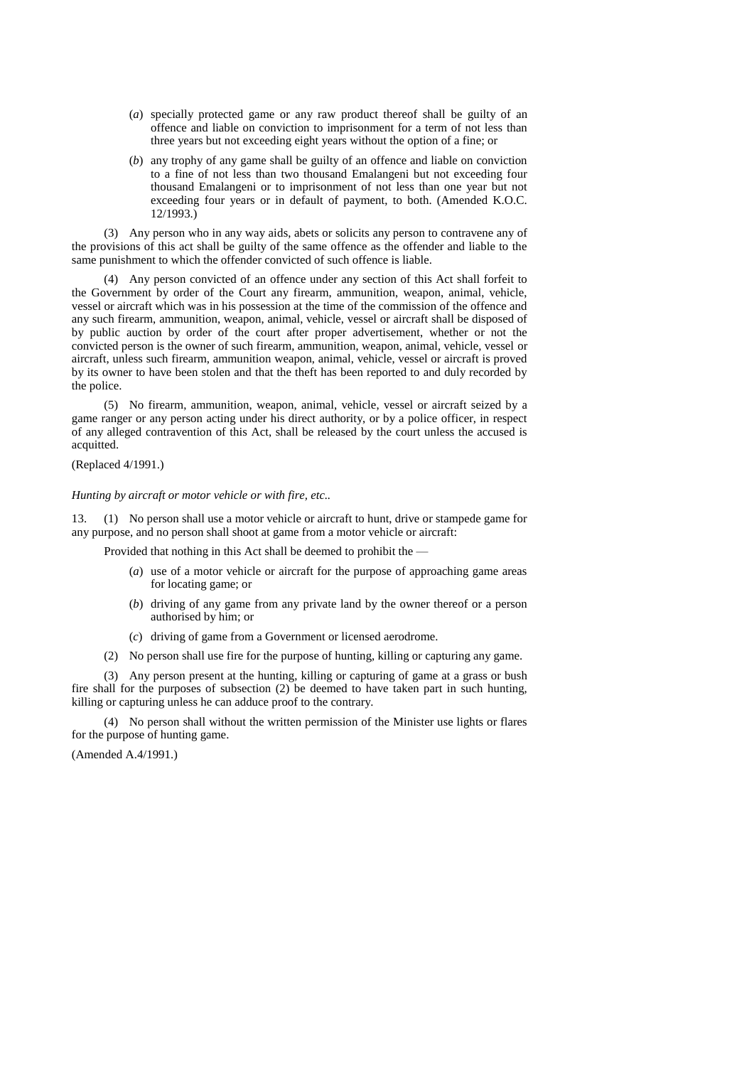- (*a*) specially protected game or any raw product thereof shall be guilty of an offence and liable on conviction to imprisonment for a term of not less than three years but not exceeding eight years without the option of a fine; or
- (*b*) any trophy of any game shall be guilty of an offence and liable on conviction to a fine of not less than two thousand Emalangeni but not exceeding four thousand Emalangeni or to imprisonment of not less than one year but not exceeding four years or in default of payment, to both. (Amended K.O.C.  $12/1993.$

(3) Any person who in any way aids, abets or solicits any person to contravene any of the provisions of this act shall be guilty of the same offence as the offender and liable to the same punishment to which the offender convicted of such offence is liable.

(4) Any person convicted of an offence under any section of this Act shall forfeit to the Government by order of the Court any firearm, ammunition, weapon, animal, vehicle, vessel or aircraft which was in his possession at the time of the commission of the offence and any such firearm, ammunition, weapon, animal, vehicle, vessel or aircraft shall be disposed of by public auction by order of the court after proper advertisement, whether or not the convicted person is the owner of such firearm, ammunition, weapon, animal, vehicle, vessel or aircraft, unless such firearm, ammunition weapon, animal, vehicle, vessel or aircraft is proved by its owner to have been stolen and that the theft has been reported to and duly recorded by the police.

(5) No firearm, ammunition, weapon, animal, vehicle, vessel or aircraft seized by a game ranger or any person acting under his direct authority, or by a police officer, in respect of any alleged contravention of this Act, shall be released by the court unless the accused is acquitted.

## (Replaced 4/1991.)

## *Hunting by aircraft or motor vehicle or with fire, etc..*

13. (1) No person shall use a motor vehicle or aircraft to hunt, drive or stampede game for any purpose, and no person shall shoot at game from a motor vehicle or aircraft:

Provided that nothing in this Act shall be deemed to prohibit the —

- (*a*) use of a motor vehicle or aircraft for the purpose of approaching game areas for locating game; or
- (*b*) driving of any game from any private land by the owner thereof or a person authorised by him; or
- (*c*) driving of game from a Government or licensed aerodrome.
- (2) No person shall use fire for the purpose of hunting, killing or capturing any game.

(3) Any person present at the hunting, killing or capturing of game at a grass or bush fire shall for the purposes of subsection (2) be deemed to have taken part in such hunting, killing or capturing unless he can adduce proof to the contrary.

(4) No person shall without the written permission of the Minister use lights or flares for the purpose of hunting game.

(Amended A.4/1991.)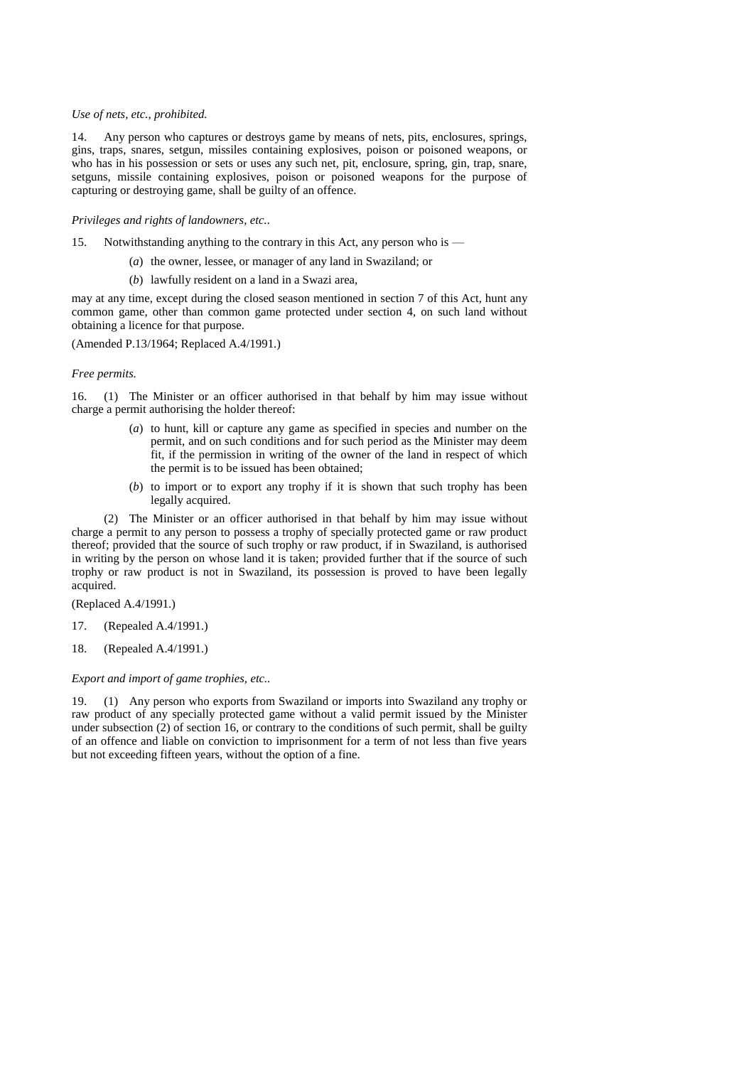### *Use of nets, etc., prohibited.*

14. Any person who captures or destroys game by means of nets, pits, enclosures, springs, gins, traps, snares, setgun, missiles containing explosives, poison or poisoned weapons, or who has in his possession or sets or uses any such net, pit, enclosure, spring, gin, trap, snare, setguns, missile containing explosives, poison or poisoned weapons for the purpose of capturing or destroying game, shall be guilty of an offence.

### *Privileges and rights of landowners, etc..*

- 15. Notwithstanding anything to the contrary in this Act, any person who is
	- (*a*) the owner, lessee, or manager of any land in Swaziland; or
		- (*b*) lawfully resident on a land in a Swazi area,

may at any time, except during the closed season mentioned in section 7 of this Act, hunt any common game, other than common game protected under section 4, on such land without obtaining a licence for that purpose.

(Amended P.13/1964; Replaced A.4/1991.)

#### *Free permits.*

16. (1) The Minister or an officer authorised in that behalf by him may issue without charge a permit authorising the holder thereof:

- (*a*) to hunt, kill or capture any game as specified in species and number on the permit, and on such conditions and for such period as the Minister may deem fit, if the permission in writing of the owner of the land in respect of which the permit is to be issued has been obtained;
- (*b*) to import or to export any trophy if it is shown that such trophy has been legally acquired.

(2) The Minister or an officer authorised in that behalf by him may issue without charge a permit to any person to possess a trophy of specially protected game or raw product thereof; provided that the source of such trophy or raw product, if in Swaziland, is authorised in writing by the person on whose land it is taken; provided further that if the source of such trophy or raw product is not in Swaziland, its possession is proved to have been legally acquired.

(Replaced A.4/1991.)

- 17. (Repealed A.4/1991.)
- 18. (Repealed A.4/1991.)

### *Export and import of game trophies, etc..*

19. (1) Any person who exports from Swaziland or imports into Swaziland any trophy or raw product of any specially protected game without a valid permit issued by the Minister under subsection  $(2)$  of section 16, or contrary to the conditions of such permit, shall be guilty of an offence and liable on conviction to imprisonment for a term of not less than five years but not exceeding fifteen years, without the option of a fine.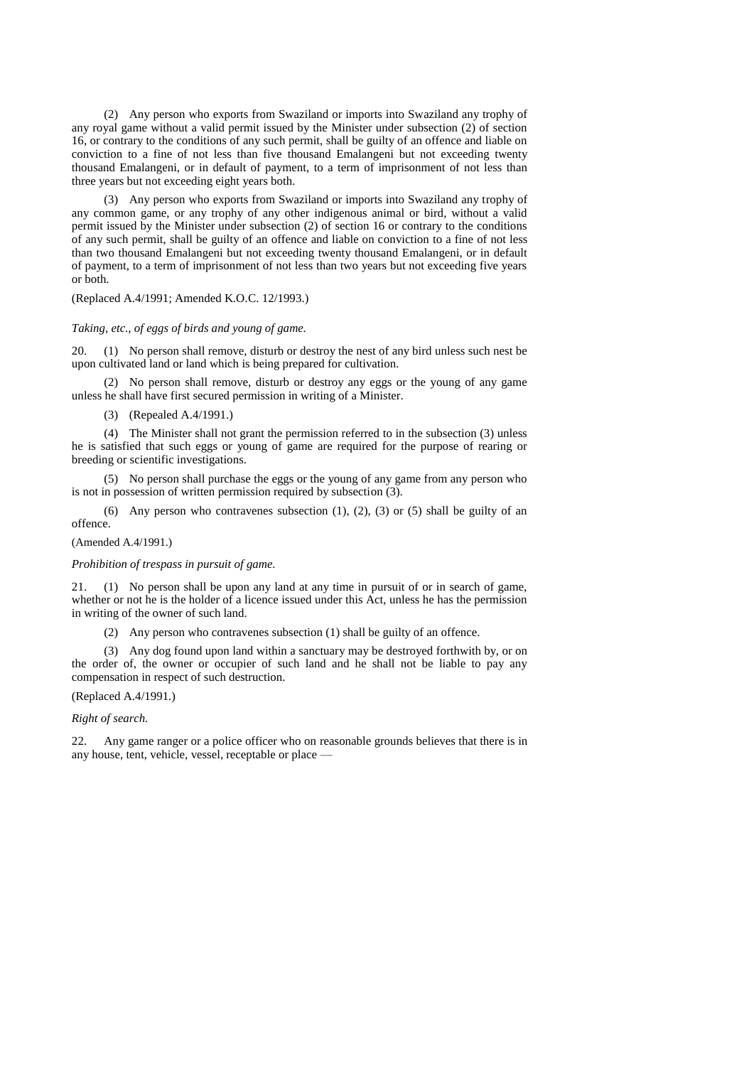(2) Any person who exports from Swaziland or imports into Swaziland any trophy of any royal game without a valid permit issued by the Minister under subsection (2) of section 16, or contrary to the conditions of any such permit, shall be guilty of an offence and liable on conviction to a fine of not less than five thousand Emalangeni but not exceeding twenty thousand Emalangeni, or in default of payment, to a term of imprisonment of not less than three years but not exceeding eight years both.

(3) Any person who exports from Swaziland or imports into Swaziland any trophy of any common game, or any trophy of any other indigenous animal or bird, without a valid permit issued by the Minister under subsection (2) of section 16 or contrary to the conditions of any such permit, shall be guilty of an offence and liable on conviction to a fine of not less than two thousand Emalangeni but not exceeding twenty thousand Emalangeni, or in default of payment, to a term of imprisonment of not less than two years but not exceeding five years or both.

### (Replaced A.4/1991; Amended K.O.C. 12/1993.)

### *Taking, etc., of eggs of birds and young of game.*

20. (1) No person shall remove, disturb or destroy the nest of any bird unless such nest be upon cultivated land or land which is being prepared for cultivation.

(2) No person shall remove, disturb or destroy any eggs or the young of any game unless he shall have first secured permission in writing of a Minister.

(3) (Repealed A.4/1991.)

(4) The Minister shall not grant the permission referred to in the subsection (3) unless he is satisfied that such eggs or young of game are required for the purpose of rearing or breeding or scientific investigations.

(5) No person shall purchase the eggs or the young of any game from any person who is not in possession of written permission required by subsection (3).

(6) Any person who contravenes subsection  $(1)$ ,  $(2)$ ,  $(3)$  or  $(5)$  shall be guilty of an offence.

(Amended A.4/1991.)

*Prohibition of trespass in pursuit of game.*

21. (1) No person shall be upon any land at any time in pursuit of or in search of game, whether or not he is the holder of a licence issued under this Act, unless he has the permission in writing of the owner of such land.

(2) Any person who contravenes subsection (1) shall be guilty of an offence.

(3) Any dog found upon land within a sanctuary may be destroyed forthwith by, or on the order of, the owner or occupier of such land and he shall not be liable to pay any compensation in respect of such destruction.

(Replaced A.4/1991.)

## *Right of search.*

22. Any game ranger or a police officer who on reasonable grounds believes that there is in any house, tent, vehicle, vessel, receptable or place —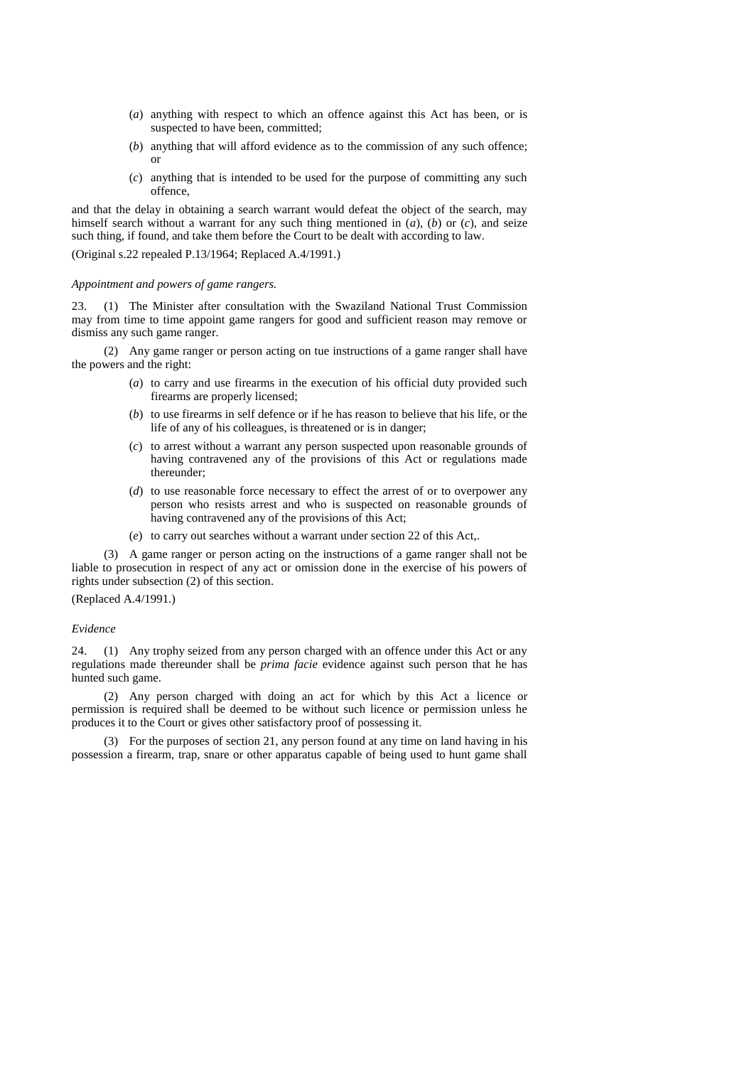- (*a*) anything with respect to which an offence against this Act has been, or is suspected to have been, committed;
- (*b*) anything that will afford evidence as to the commission of any such offence; or
- (*c*) anything that is intended to be used for the purpose of committing any such offence,

and that the delay in obtaining a search warrant would defeat the object of the search, may himself search without a warrant for any such thing mentioned in (*a*), (*b*) or (*c*), and seize such thing, if found, and take them before the Court to be dealt with according to law.

(Original s.22 repealed P.13/1964; Replaced A.4/1991.)

### *Appointment and powers of game rangers.*

23. (1) The Minister after consultation with the Swaziland National Trust Commission may from time to time appoint game rangers for good and sufficient reason may remove or dismiss any such game ranger.

(2) Any game ranger or person acting on tue instructions of a game ranger shall have the powers and the right:

- (*a*) to carry and use firearms in the execution of his official duty provided such firearms are properly licensed;
- (*b*) to use firearms in self defence or if he has reason to believe that his life, or the life of any of his colleagues, is threatened or is in danger;
- (*c*) to arrest without a warrant any person suspected upon reasonable grounds of having contravened any of the provisions of this Act or regulations made thereunder;
- (*d*) to use reasonable force necessary to effect the arrest of or to overpower any person who resists arrest and who is suspected on reasonable grounds of having contravened any of the provisions of this Act;
- (*e*) to carry out searches without a warrant under section 22 of this Act,.

(3) A game ranger or person acting on the instructions of a game ranger shall not be liable to prosecution in respect of any act or omission done in the exercise of his powers of rights under subsection (2) of this section.

(Replaced A.4/1991.)

### *Evidence*

24. (1) Any trophy seized from any person charged with an offence under this Act or any regulations made thereunder shall be *prima facie* evidence against such person that he has hunted such game.

(2) Any person charged with doing an act for which by this Act a licence or permission is required shall be deemed to be without such licence or permission unless he produces it to the Court or gives other satisfactory proof of possessing it.

(3) For the purposes of section 21, any person found at any time on land having in his possession a firearm, trap, snare or other apparatus capable of being used to hunt game shall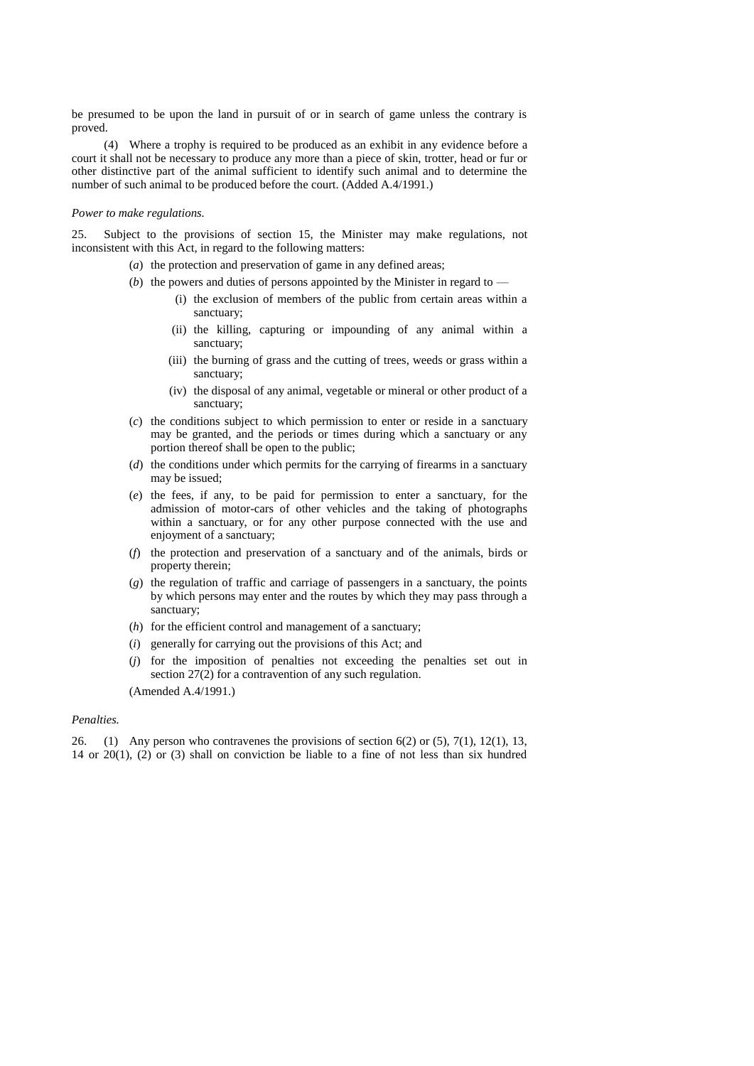be presumed to be upon the land in pursuit of or in search of game unless the contrary is proved.

(4) Where a trophy is required to be produced as an exhibit in any evidence before a court it shall not be necessary to produce any more than a piece of skin, trotter, head or fur or other distinctive part of the animal sufficient to identify such animal and to determine the number of such animal to be produced before the court. (Added A.4/1991.)

### *Power to make regulations.*

25. Subject to the provisions of section 15, the Minister may make regulations, not inconsistent with this Act, in regard to the following matters:

- (*a*) the protection and preservation of game in any defined areas;
- (*b*) the powers and duties of persons appointed by the Minister in regard to
	- (i) the exclusion of members of the public from certain areas within a sanctuary;
	- (ii) the killing, capturing or impounding of any animal within a sanctuary;
	- (iii) the burning of grass and the cutting of trees, weeds or grass within a sanctuary;
	- (iv) the disposal of any animal, vegetable or mineral or other product of a sanctuary;
- (*c*) the conditions subject to which permission to enter or reside in a sanctuary may be granted, and the periods or times during which a sanctuary or any portion thereof shall be open to the public;
- (*d*) the conditions under which permits for the carrying of firearms in a sanctuary may be issued;
- (*e*) the fees, if any, to be paid for permission to enter a sanctuary, for the admission of motor-cars of other vehicles and the taking of photographs within a sanctuary, or for any other purpose connected with the use and enjoyment of a sanctuary;
- (*f*) the protection and preservation of a sanctuary and of the animals, birds or property therein;
- (*g*) the regulation of traffic and carriage of passengers in a sanctuary, the points by which persons may enter and the routes by which they may pass through a sanctuary:
- (*h*) for the efficient control and management of a sanctuary;
- (*i*) generally for carrying out the provisions of this Act; and
- (*j*) for the imposition of penalties not exceeding the penalties set out in section 27(2) for a contravention of any such regulation.

(Amended A.4/1991.)

#### *Penalties.*

26. (1) Any person who contravenes the provisions of section 6(2) or (5), 7(1), 12(1), 13, 14 or  $20(1)$ ,  $(2)$  or  $(3)$  shall on conviction be liable to a fine of not less than six hundred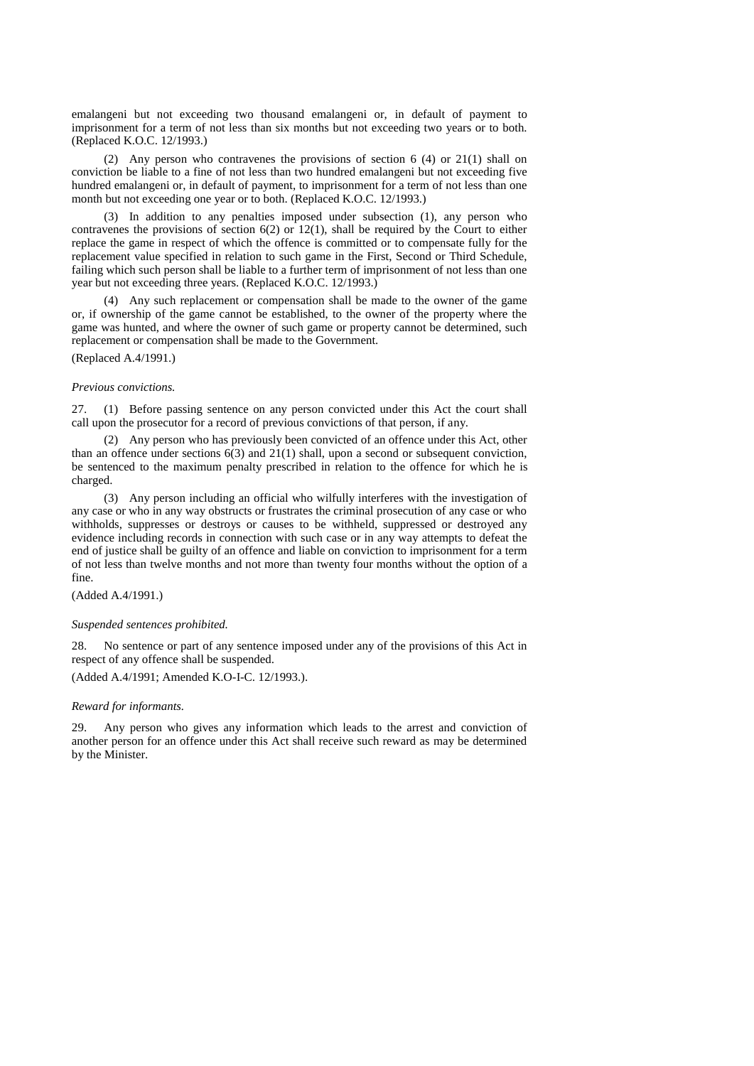emalangeni but not exceeding two thousand emalangeni or, in default of payment to imprisonment for a term of not less than six months but not exceeding two years or to both. (Replaced K.O.C. 12/1993.)

(2) Any person who contravenes the provisions of section 6 (4) or 21(1) shall on conviction be liable to a fine of not less than two hundred emalangeni but not exceeding five hundred emalangeni or, in default of payment, to imprisonment for a term of not less than one month but not exceeding one year or to both. (Replaced K.O.C. 12/1993.)

(3) In addition to any penalties imposed under subsection (1), any person who contravenes the provisions of section  $6(2)$  or  $12(1)$ , shall be required by the Court to either replace the game in respect of which the offence is committed or to compensate fully for the replacement value specified in relation to such game in the First, Second or Third Schedule, failing which such person shall be liable to a further term of imprisonment of not less than one year but not exceeding three years. (Replaced K.O.C. 12/1993.)

(4) Any such replacement or compensation shall be made to the owner of the game or, if ownership of the game cannot be established, to the owner of the property where the game was hunted, and where the owner of such game or property cannot be determined, such replacement or compensation shall be made to the Government.

(Replaced A.4/1991.)

### *Previous convictions.*

27. (1) Before passing sentence on any person convicted under this Act the court shall call upon the prosecutor for a record of previous convictions of that person, if any.

(2) Any person who has previously been convicted of an offence under this Act, other than an offence under sections  $6(3)$  and  $21(1)$  shall, upon a second or subsequent conviction, be sentenced to the maximum penalty prescribed in relation to the offence for which he is charged.

(3) Any person including an official who wilfully interferes with the investigation of any case or who in any way obstructs or frustrates the criminal prosecution of any case or who withholds, suppresses or destroys or causes to be withheld, suppressed or destroyed any evidence including records in connection with such case or in any way attempts to defeat the end of justice shall be guilty of an offence and liable on conviction to imprisonment for a term of not less than twelve months and not more than twenty four months without the option of a fine.

(Added A.4/1991.)

#### *Suspended sentences prohibited.*

28. No sentence or part of any sentence imposed under any of the provisions of this Act in respect of any offence shall be suspended.

(Added A.4/1991; Amended K.O-I-C. 12/1993.).

### *Reward for informants.*

29. Any person who gives any information which leads to the arrest and conviction of another person for an offence under this Act shall receive such reward as may be determined by the Minister.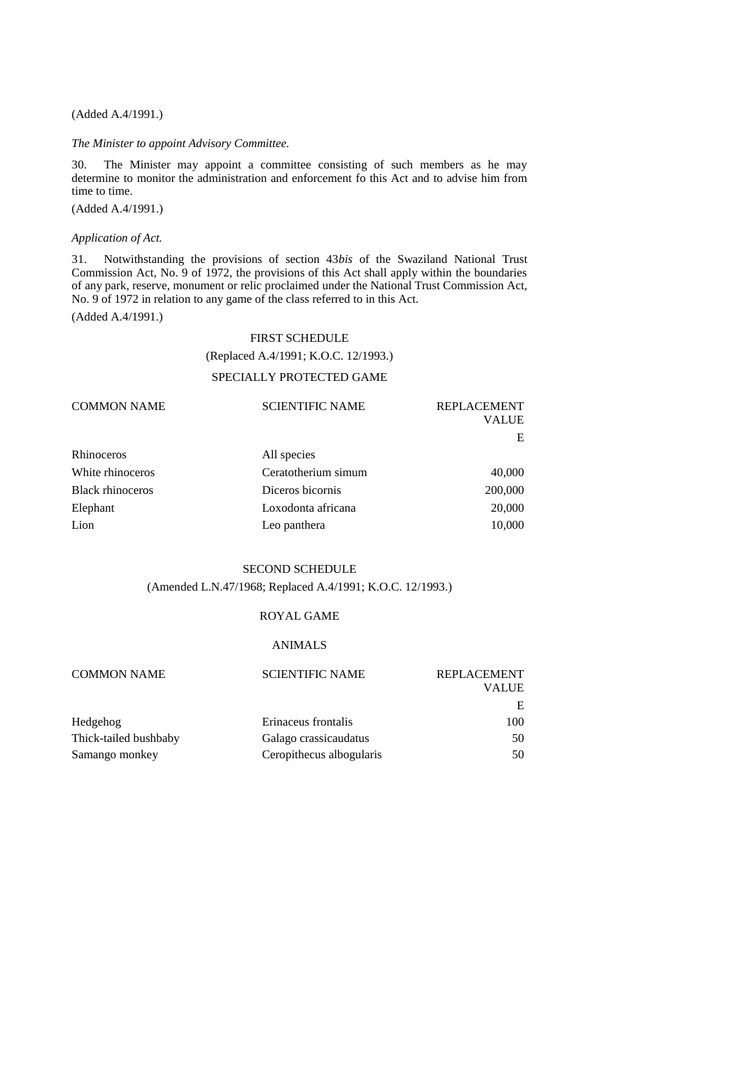(Added A.4/1991.)

*The Minister to appoint Advisory Committee.*

30. The Minister may appoint a committee consisting of such members as he may determine to monitor the administration and enforcement fo this Act and to advise him from time to time.

(Added A.4/1991.)

### *Application of Act.*

31. Notwithstanding the provisions of section 43*bis* of the Swaziland National Trust Commission Act, No. 9 of 1972, the provisions of this Act shall apply within the boundaries of any park, reserve, monument or relic proclaimed under the National Trust Commission Act, No. 9 of 1972 in relation to any game of the class referred to in this Act.

(Added A.4/1991.)

## FIRST SCHEDULE (Replaced A.4/1991; K.O.C. 12/1993.)

#### SPECIALLY PROTECTED GAME

| <b>COMMON NAME</b>      | <b>SCIENTIFIC NAME</b> | <b>REPLACEMENT</b> |
|-------------------------|------------------------|--------------------|
|                         |                        | <b>VALUE</b>       |
|                         |                        | E                  |
| Rhinoceros              | All species            |                    |
| White rhinoceros        | Ceratotherium simum    | 40,000             |
| <b>Black rhinoceros</b> | Diceros bicornis       | 200,000            |
| Elephant                | Loxodonta africana     | 20,000             |
| Lion                    | Leo panthera           | 10,000             |

## SECOND SCHEDULE

(Amended L.N.47/1968; Replaced A.4/1991; K.O.C. 12/1993.)

## ROYAL GAME

### ANIMALS

| <b>COMMON NAME</b>    | <b>SCIENTIFIC NAME</b>   | <b>REPLACEMENT</b><br><b>VALUE</b> |
|-----------------------|--------------------------|------------------------------------|
|                       |                          | E                                  |
| Hedgehog              | Erinaceus frontalis      | 100                                |
| Thick-tailed bushbaby | Galago crassicaudatus    | 50                                 |
| Samango monkey        | Ceropithecus albogularis | 50                                 |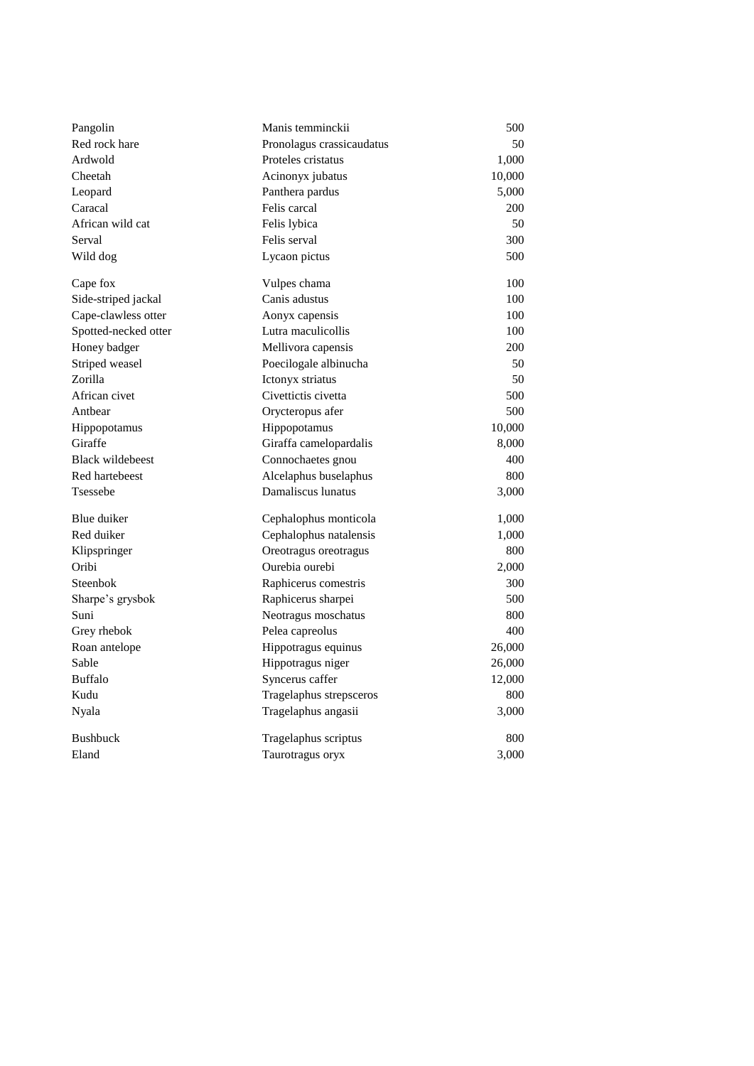| Pangolin                | Manis temminckii          | 500    |
|-------------------------|---------------------------|--------|
| Red rock hare           | Pronolagus crassicaudatus | 50     |
| Ardwold                 | Proteles cristatus        | 1,000  |
| Cheetah                 | Acinonyx jubatus          | 10,000 |
| Leopard                 | Panthera pardus           | 5,000  |
| Caracal                 | Felis carcal              | 200    |
| African wild cat        | Felis lybica              | 50     |
| Serval                  | Felis serval              | 300    |
| Wild dog                | Lycaon pictus             | 500    |
| Cape fox                | Vulpes chama              | 100    |
| Side-striped jackal     | Canis adustus             | 100    |
| Cape-clawless otter     | Aonyx capensis            | 100    |
| Spotted-necked otter    | Lutra maculicollis        | 100    |
| Honey badger            | Mellivora capensis        | 200    |
| Striped weasel          | Poecilogale albinucha     | 50     |
| Zorilla                 | Ictonyx striatus          | 50     |
| African civet           | Civettictis civetta       | 500    |
| Antbear                 | Orycteropus afer          | 500    |
| Hippopotamus            | Hippopotamus              | 10,000 |
| Giraffe                 | Giraffa camelopardalis    | 8,000  |
| <b>Black wildebeest</b> | Connochaetes gnou         | 400    |
| Red hartebeest          | Alcelaphus buselaphus     | 800    |
| Tsessebe                | Damaliscus lunatus        | 3,000  |
| Blue duiker             | Cephalophus monticola     | 1,000  |
| Red duiker              | Cephalophus natalensis    | 1,000  |
| Klipspringer            | Oreotragus oreotragus     | 800    |
| Oribi                   | Ourebia ourebi            | 2,000  |
| Steenbok                | Raphicerus comestris      | 300    |
| Sharpe's grysbok        | Raphicerus sharpei        | 500    |
| Suni                    | Neotragus moschatus       | 800    |
| Grey rhebok             | Pelea capreolus           | 400    |
| Roan antelope           | Hippotragus equinus       | 26,000 |
| Sable                   | Hippotragus niger         | 26,000 |
| <b>Buffalo</b>          | Syncerus caffer           | 12,000 |
| Kudu                    | Tragelaphus strepsceros   | 800    |
| Nyala                   | Tragelaphus angasii       | 3,000  |
| <b>Bushbuck</b>         | Tragelaphus scriptus      | 800    |
| Eland                   | Taurotragus oryx          | 3,000  |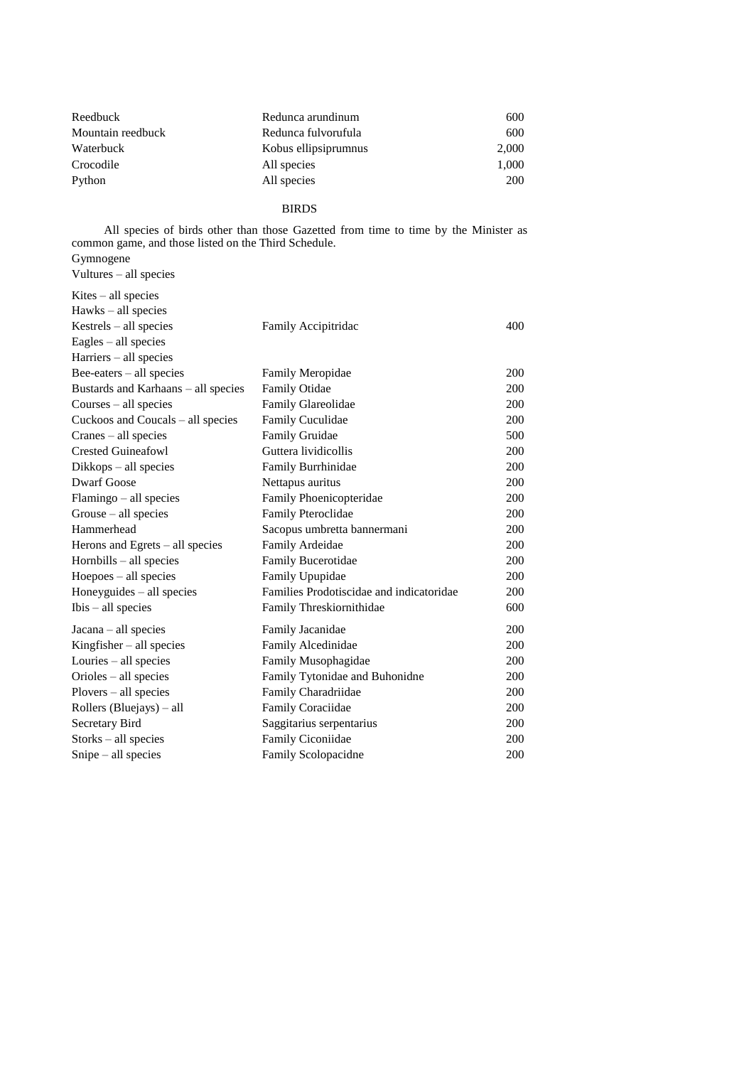| Reedbuck          | Redunca arundinum    | 600   |
|-------------------|----------------------|-------|
| Mountain reedbuck | Redunca fulvorufula  | 600   |
| Waterbuck         | Kobus ellipsiprumnus | 2,000 |
| Crocodile         | All species          | 1,000 |
| Python            | All species          | 200   |
|                   |                      |       |

BIRDS

All species of birds other than those Gazetted from time to time by the Minister as common game, and those listed on the Third Schedule. Gymnogene

Vultures – all species

| $Kites - all species$               |                                          |     |
|-------------------------------------|------------------------------------------|-----|
| $Hawks - all species$               |                                          |     |
| Kestrels – all species              | Family Accipitridac                      | 400 |
| Eagles - all species                |                                          |     |
| Harriers – all species              |                                          |     |
| $Bee-eaters - all species$          | Family Meropidae                         | 200 |
| Bustards and Karhaans - all species | <b>Family Otidae</b>                     | 200 |
| Courses – all species               | Family Glareolidae                       | 200 |
| Cuckoos and Coucals - all species   | Family Cuculidae                         | 200 |
| $Cranes - all species$              | Family Gruidae                           | 500 |
| <b>Crested Guineafowl</b>           | Guttera lividicollis                     | 200 |
| Dikkops – all species               | Family Burrhinidae                       | 200 |
| <b>Dwarf Goose</b>                  | Nettapus auritus                         | 200 |
| Flamingo - all species              | Family Phoenicopteridae                  | 200 |
| $Grouse - all species$              | Family Pteroclidae                       | 200 |
| Hammerhead                          | Sacopus umbretta bannermani              | 200 |
| Herons and Egrets – all species     | Family Ardeidae                          | 200 |
| $Hornbills - all species$           | Family Bucerotidae                       | 200 |
| $Hoepoes - all species$             | Family Upupidae                          | 200 |
| Honeyguides $-$ all species         | Families Prodotiscidae and indicatoridae | 200 |
| $Ibis - all species$                | Family Threskiornithidae                 | 600 |
| Jacana - all species                | <b>Family Jacanidae</b>                  | 200 |
| Kingfisher $-$ all species          | Family Alcedinidae                       | 200 |
| Louries - all species               | Family Musophagidae                      | 200 |
| Orioles - all species               | Family Tytonidae and Buhonidne           | 200 |
| Plovers - all species               | Family Charadriidae                      | 200 |
| Rollers (Bluejays) – all            | Family Coraciidae                        | 200 |
| Secretary Bird                      | Saggitarius serpentarius                 | 200 |
| Storks - all species                | Family Ciconiidae                        | 200 |
| $Single - all species$              | Family Scolopacidne                      | 200 |